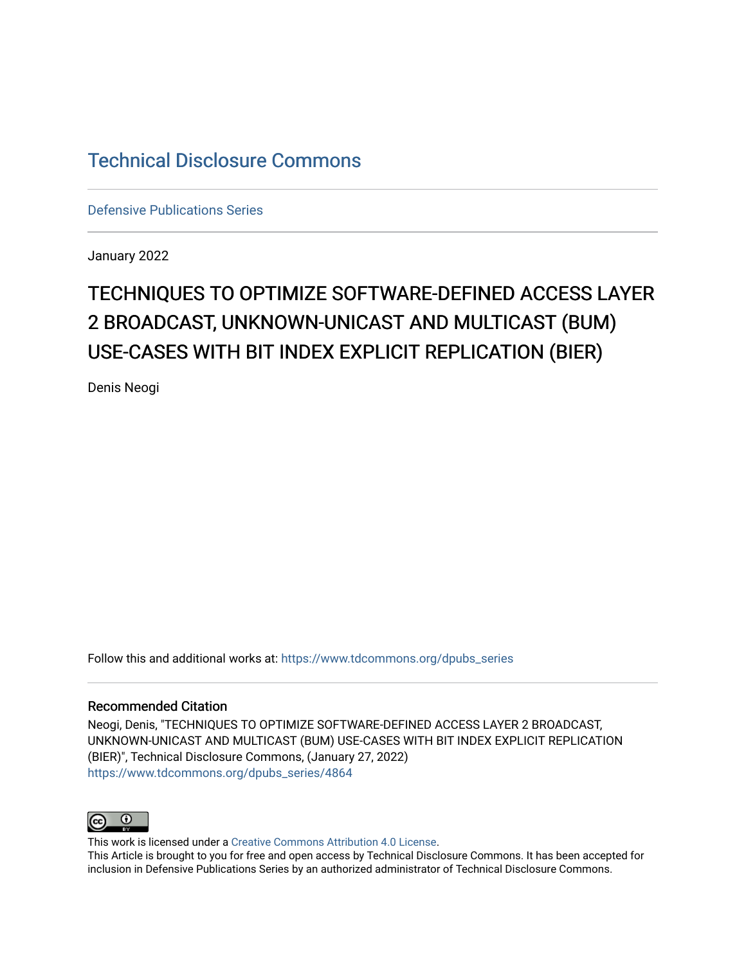# [Technical Disclosure Commons](https://www.tdcommons.org/)

[Defensive Publications Series](https://www.tdcommons.org/dpubs_series)

January 2022

# TECHNIQUES TO OPTIMIZE SOFTWARE-DEFINED ACCESS LAYER 2 BROADCAST, UNKNOWN-UNICAST AND MULTICAST (BUM) USE-CASES WITH BIT INDEX EXPLICIT REPLICATION (BIER)

Denis Neogi

Follow this and additional works at: [https://www.tdcommons.org/dpubs\\_series](https://www.tdcommons.org/dpubs_series?utm_source=www.tdcommons.org%2Fdpubs_series%2F4864&utm_medium=PDF&utm_campaign=PDFCoverPages) 

#### Recommended Citation

Neogi, Denis, "TECHNIQUES TO OPTIMIZE SOFTWARE-DEFINED ACCESS LAYER 2 BROADCAST, UNKNOWN-UNICAST AND MULTICAST (BUM) USE-CASES WITH BIT INDEX EXPLICIT REPLICATION (BIER)", Technical Disclosure Commons, (January 27, 2022) [https://www.tdcommons.org/dpubs\\_series/4864](https://www.tdcommons.org/dpubs_series/4864?utm_source=www.tdcommons.org%2Fdpubs_series%2F4864&utm_medium=PDF&utm_campaign=PDFCoverPages)



This work is licensed under a [Creative Commons Attribution 4.0 License](http://creativecommons.org/licenses/by/4.0/deed.en_US).

This Article is brought to you for free and open access by Technical Disclosure Commons. It has been accepted for inclusion in Defensive Publications Series by an authorized administrator of Technical Disclosure Commons.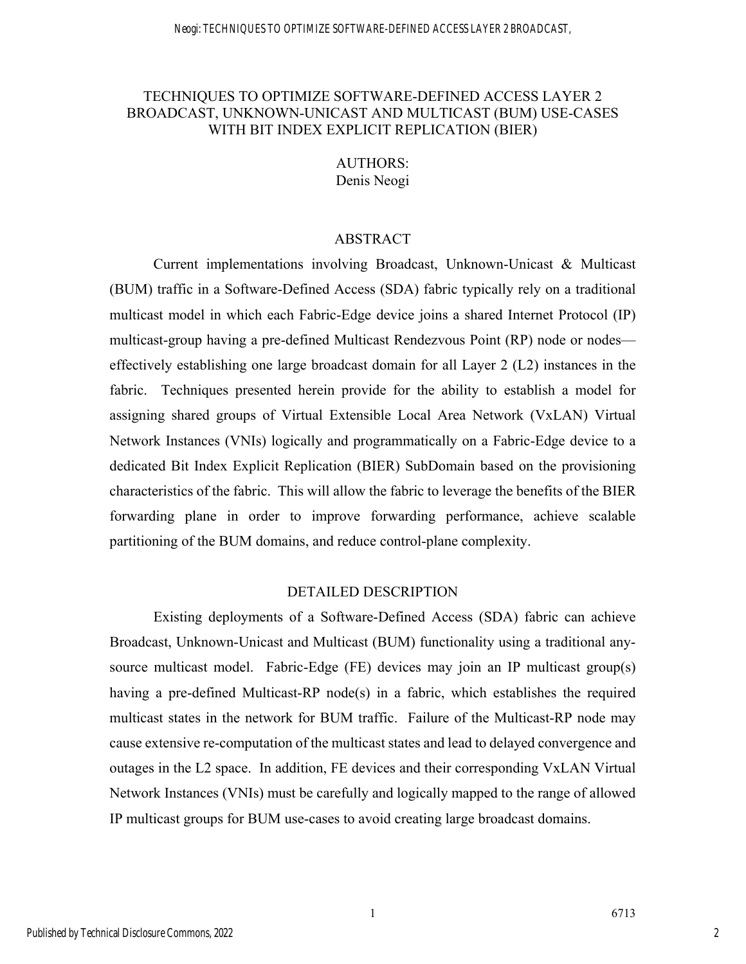# TECHNIQUES TO OPTIMIZE SOFTWARE-DEFINED ACCESS LAYER 2 BROADCAST, UNKNOWN-UNICAST AND MULTICAST (BUM) USE-CASES WITH BIT INDEX EXPLICIT REPLICATION (BIER)

# AUTHORS: Denis Neogi

# ABSTRACT

Current implementations involving Broadcast, Unknown-Unicast & Multicast (BUM) traffic in a Software-Defined Access (SDA) fabric typically rely on a traditional multicast model in which each Fabric-Edge device joins a shared Internet Protocol (IP) multicast-group having a pre-defined Multicast Rendezvous Point (RP) node or nodes effectively establishing one large broadcast domain for all Layer 2 (L2) instances in the fabric. Techniques presented herein provide for the ability to establish a model for assigning shared groups of Virtual Extensible Local Area Network (VxLAN) Virtual Network Instances (VNIs) logically and programmatically on a Fabric-Edge device to a dedicated Bit Index Explicit Replication (BIER) SubDomain based on the provisioning characteristics of the fabric. This will allow the fabric to leverage the benefits of the BIER forwarding plane in order to improve forwarding performance, achieve scalable partitioning of the BUM domains, and reduce control-plane complexity.

## DETAILED DESCRIPTION

Existing deployments of a Software-Defined Access (SDA) fabric can achieve Broadcast, Unknown-Unicast and Multicast (BUM) functionality using a traditional anysource multicast model. Fabric-Edge (FE) devices may join an IP multicast group(s) having a pre-defined Multicast-RP node(s) in a fabric, which establishes the required multicast states in the network for BUM traffic. Failure of the Multicast-RP node may cause extensive re-computation of the multicast states and lead to delayed convergence and outages in the L2 space. In addition, FE devices and their corresponding VxLAN Virtual Network Instances (VNIs) must be carefully and logically mapped to the range of allowed IP multicast groups for BUM use-cases to avoid creating large broadcast domains.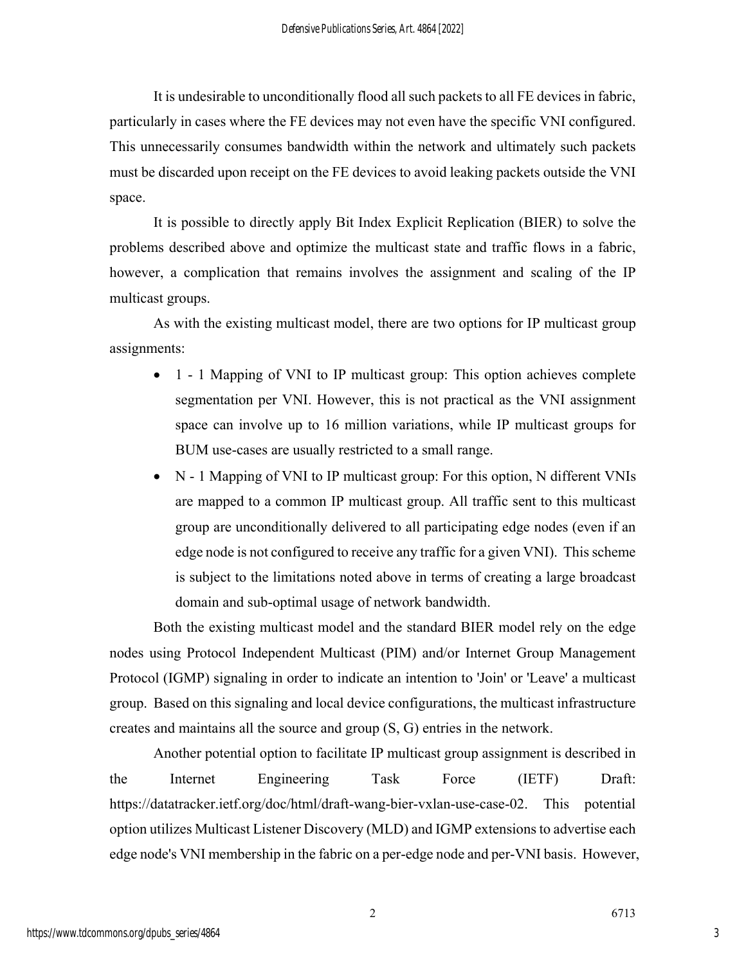It is undesirable to unconditionally flood all such packets to all FE devices in fabric, particularly in cases where the FE devices may not even have the specific VNI configured. This unnecessarily consumes bandwidth within the network and ultimately such packets must be discarded upon receipt on the FE devices to avoid leaking packets outside the VNI space.

It is possible to directly apply Bit Index Explicit Replication (BIER) to solve the problems described above and optimize the multicast state and traffic flows in a fabric, however, a complication that remains involves the assignment and scaling of the IP multicast groups.

As with the existing multicast model, there are two options for IP multicast group assignments:

- 1 1 Mapping of VNI to IP multicast group: This option achieves complete segmentation per VNI. However, this is not practical as the VNI assignment space can involve up to 16 million variations, while IP multicast groups for BUM use-cases are usually restricted to a small range.
- N 1 Mapping of VNI to IP multicast group: For this option, N different VNIs are mapped to a common IP multicast group. All traffic sent to this multicast group are unconditionally delivered to all participating edge nodes (even if an edge node is not configured to receive any traffic for a given VNI). This scheme is subject to the limitations noted above in terms of creating a large broadcast domain and sub-optimal usage of network bandwidth.

Both the existing multicast model and the standard BIER model rely on the edge nodes using Protocol Independent Multicast (PIM) and/or Internet Group Management Protocol (IGMP) signaling in order to indicate an intention to 'Join' or 'Leave' a multicast group. Based on this signaling and local device configurations, the multicast infrastructure creates and maintains all the source and group (S, G) entries in the network.

Another potential option to facilitate IP multicast group assignment is described in the Internet Engineering Task Force (IETF) Draft: https://datatracker.ietf.org/doc/html/draft-wang-bier-vxlan-use-case-02. This potential option utilizes Multicast Listener Discovery (MLD) and IGMP extensions to advertise each edge node's VNI membership in the fabric on a per-edge node and per-VNI basis. However,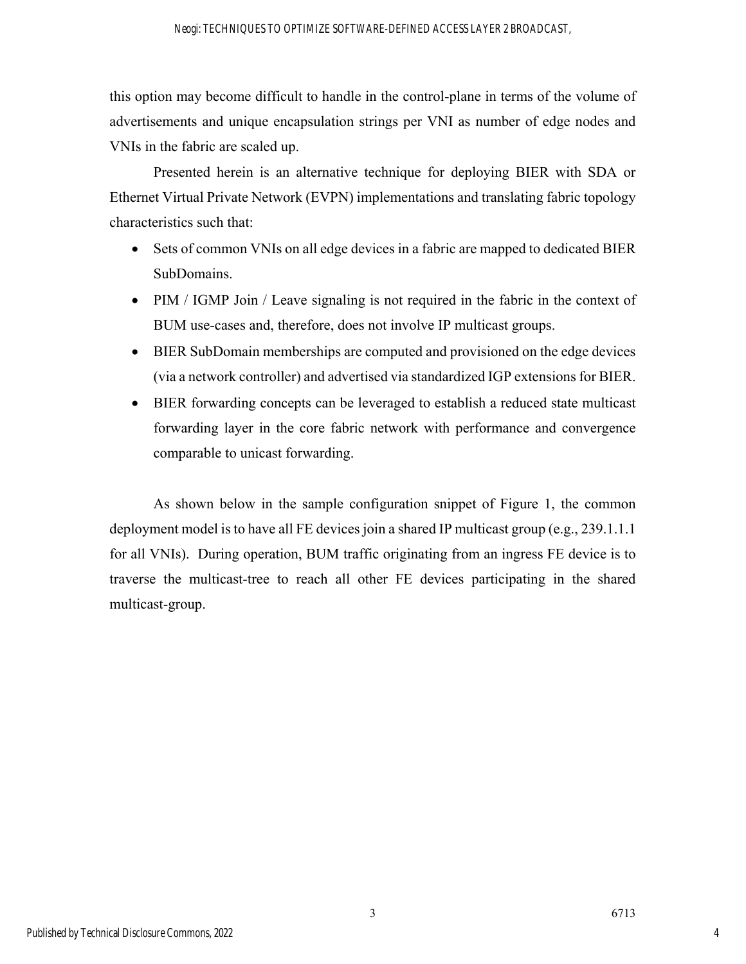this option may become difficult to handle in the control-plane in terms of the volume of advertisements and unique encapsulation strings per VNI as number of edge nodes and VNIs in the fabric are scaled up.

Presented herein is an alternative technique for deploying BIER with SDA or Ethernet Virtual Private Network (EVPN) implementations and translating fabric topology characteristics such that:

- Sets of common VNIs on all edge devices in a fabric are mapped to dedicated BIER SubDomains.
- PIM / IGMP Join / Leave signaling is not required in the fabric in the context of BUM use-cases and, therefore, does not involve IP multicast groups.
- BIER SubDomain memberships are computed and provisioned on the edge devices (via a network controller) and advertised via standardized IGP extensions for BIER.
- BIER forwarding concepts can be leveraged to establish a reduced state multicast forwarding layer in the core fabric network with performance and convergence comparable to unicast forwarding.

As shown below in the sample configuration snippet of Figure 1, the common deployment model is to have all FE devices join a shared IP multicast group (e.g., 239.1.1.1) for all VNIs). During operation, BUM traffic originating from an ingress FE device is to traverse the multicast-tree to reach all other FE devices participating in the shared multicast-group.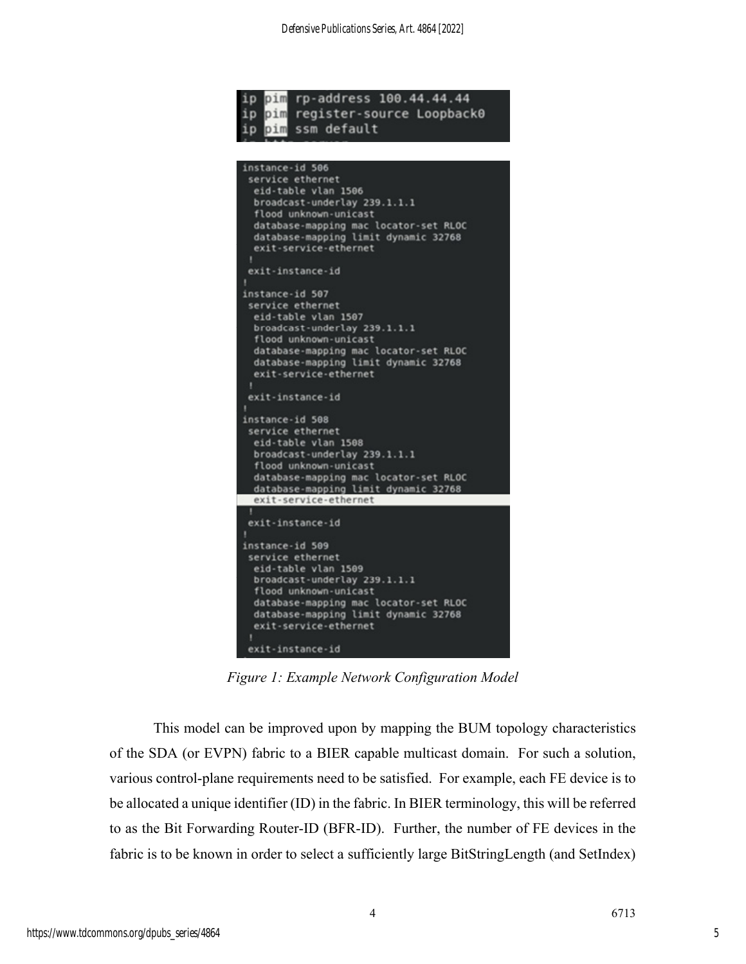

*Figure 1: Example Network Configuration Model*

This model can be improved upon by mapping the BUM topology characteristics of the SDA (or EVPN) fabric to a BIER capable multicast domain. For such a solution, various control-plane requirements need to be satisfied. For example, each FE device is to be allocated a unique identifier (ID) in the fabric. In BIER terminology, this will be referred to as the Bit Forwarding Router-ID (BFR-ID). Further, the number of FE devices in the fabric is to be known in order to select a sufficiently large BitStringLength (and SetIndex)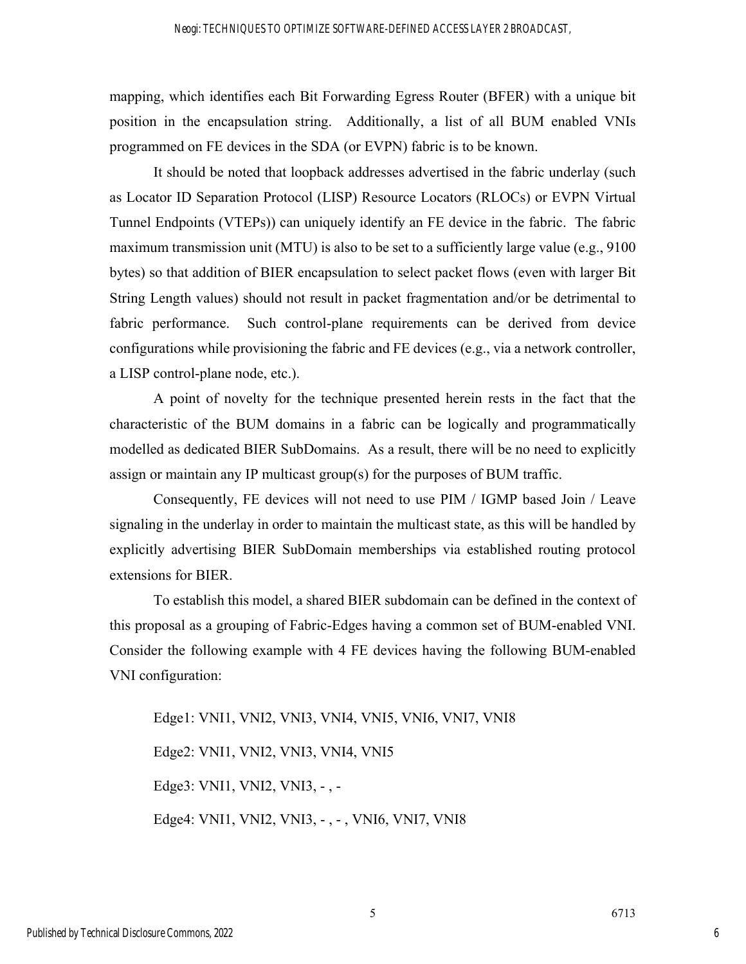mapping, which identifies each Bit Forwarding Egress Router (BFER) with a unique bit position in the encapsulation string. Additionally, a list of all BUM enabled VNIs programmed on FE devices in the SDA (or EVPN) fabric is to be known.

It should be noted that loopback addresses advertised in the fabric underlay (such as Locator ID Separation Protocol (LISP) Resource Locators (RLOCs) or EVPN Virtual Tunnel Endpoints (VTEPs)) can uniquely identify an FE device in the fabric. The fabric maximum transmission unit (MTU) is also to be set to a sufficiently large value (e.g., 9100 bytes) so that addition of BIER encapsulation to select packet flows (even with larger Bit String Length values) should not result in packet fragmentation and/or be detrimental to fabric performance. Such control-plane requirements can be derived from device configurations while provisioning the fabric and FE devices (e.g., via a network controller, a LISP control-plane node, etc.).

A point of novelty for the technique presented herein rests in the fact that the characteristic of the BUM domains in a fabric can be logically and programmatically modelled as dedicated BIER SubDomains. As a result, there will be no need to explicitly assign or maintain any IP multicast group(s) for the purposes of BUM traffic.

Consequently, FE devices will not need to use PIM / IGMP based Join / Leave signaling in the underlay in order to maintain the multicast state, as this will be handled by explicitly advertising BIER SubDomain memberships via established routing protocol extensions for BIER.

To establish this model, a shared BIER subdomain can be defined in the context of this proposal as a grouping of Fabric-Edges having a common set of BUM-enabled VNI. Consider the following example with 4 FE devices having the following BUM-enabled VNI configuration:

Edge1: VNI1, VNI2, VNI3, VNI4, VNI5, VNI6, VNI7, VNI8 Edge2: VNI1, VNI2, VNI3, VNI4, VNI5 Edge3: VNI1, VNI2, VNI3, - , - Edge4: VNI1, VNI2, VNI3, - , - , VNI6, VNI7, VNI8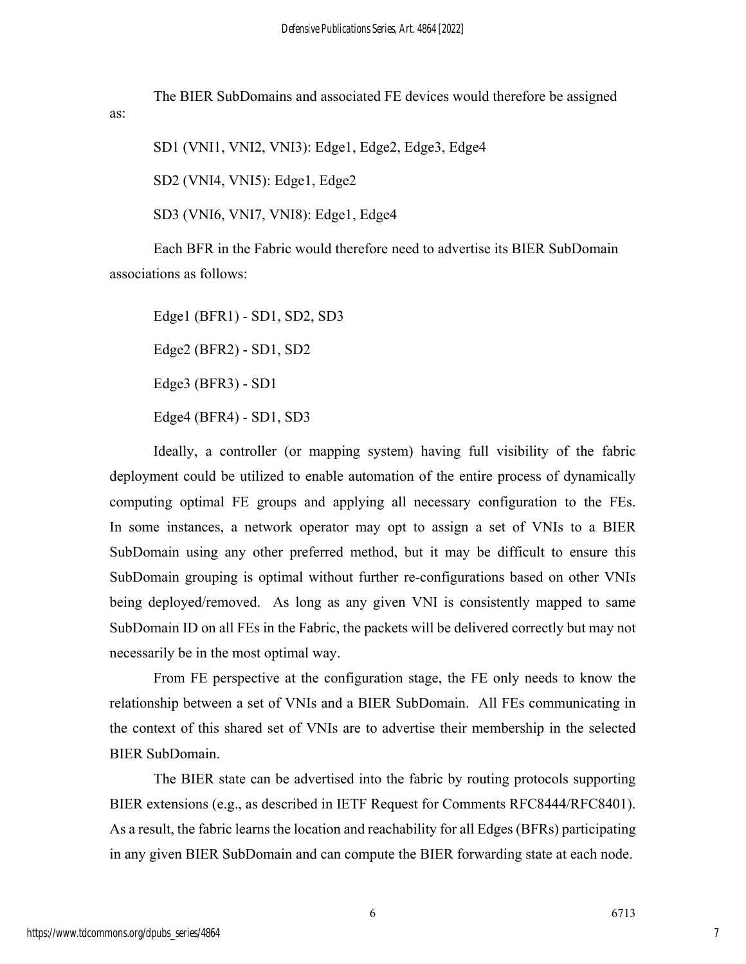The BIER SubDomains and associated FE devices would therefore be assigned

SD1 (VNI1, VNI2, VNI3): Edge1, Edge2, Edge3, Edge4

SD2 (VNI4, VNI5): Edge1, Edge2

as:

SD3 (VNI6, VNI7, VNI8): Edge1, Edge4

Each BFR in the Fabric would therefore need to advertise its BIER SubDomain associations as follows:

Edge1 (BFR1) - SD1, SD2, SD3 Edge2 (BFR2) - SD1, SD2 Edge3 (BFR3) - SD1 Edge4 (BFR4) - SD1, SD3

Ideally, a controller (or mapping system) having full visibility of the fabric deployment could be utilized to enable automation of the entire process of dynamically computing optimal FE groups and applying all necessary configuration to the FEs. In some instances, a network operator may opt to assign a set of VNIs to a BIER SubDomain using any other preferred method, but it may be difficult to ensure this SubDomain grouping is optimal without further re-configurations based on other VNIs being deployed/removed. As long as any given VNI is consistently mapped to same SubDomain ID on all FEs in the Fabric, the packets will be delivered correctly but may not necessarily be in the most optimal way.

From FE perspective at the configuration stage, the FE only needs to know the relationship between a set of VNIs and a BIER SubDomain. All FEs communicating in the context of this shared set of VNIs are to advertise their membership in the selected BIER SubDomain.

The BIER state can be advertised into the fabric by routing protocols supporting BIER extensions (e.g., as described in IETF Request for Comments RFC8444/RFC8401). As a result, the fabric learns the location and reachability for all Edges (BFRs) participating in any given BIER SubDomain and can compute the BIER forwarding state at each node.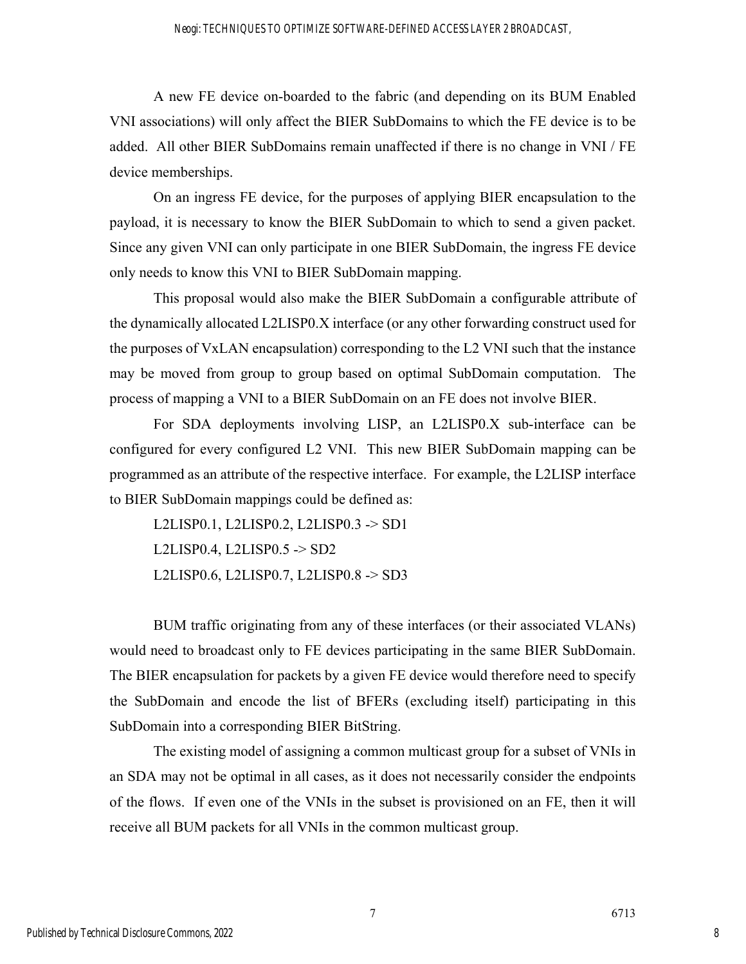## Neogi: TECHNIQUES TO OPTIMIZE SOFTWARE-DEFINED ACCESS LAYER 2 BROADCAST,

A new FE device on-boarded to the fabric (and depending on its BUM Enabled VNI associations) will only affect the BIER SubDomains to which the FE device is to be added. All other BIER SubDomains remain unaffected if there is no change in VNI / FE device memberships.

On an ingress FE device, for the purposes of applying BIER encapsulation to the payload, it is necessary to know the BIER SubDomain to which to send a given packet. Since any given VNI can only participate in one BIER SubDomain, the ingress FE device only needs to know this VNI to BIER SubDomain mapping.

This proposal would also make the BIER SubDomain a configurable attribute of the dynamically allocated L2LISP0.X interface (or any other forwarding construct used for the purposes of VxLAN encapsulation) corresponding to the L2 VNI such that the instance may be moved from group to group based on optimal SubDomain computation. The process of mapping a VNI to a BIER SubDomain on an FE does not involve BIER.

For SDA deployments involving LISP, an L2LISP0.X sub-interface can be configured for every configured L2 VNI. This new BIER SubDomain mapping can be programmed as an attribute of the respective interface. For example, the L2LISP interface to BIER SubDomain mappings could be defined as:

L2LISP0.1, L2LISP0.2, L2LISP0.3 -> SD1 L2LISP0.4, L2LISP0.5  $\rightarrow$  SD2 L2LISP0.6, L2LISP0.7, L2LISP0.8 -> SD3

BUM traffic originating from any of these interfaces (or their associated VLANs) would need to broadcast only to FE devices participating in the same BIER SubDomain. The BIER encapsulation for packets by a given FE device would therefore need to specify the SubDomain and encode the list of BFERs (excluding itself) participating in this SubDomain into a corresponding BIER BitString.

The existing model of assigning a common multicast group for a subset of VNIs in an SDA may not be optimal in all cases, as it does not necessarily consider the endpoints of the flows. If even one of the VNIs in the subset is provisioned on an FE, then it will receive all BUM packets for all VNIs in the common multicast group.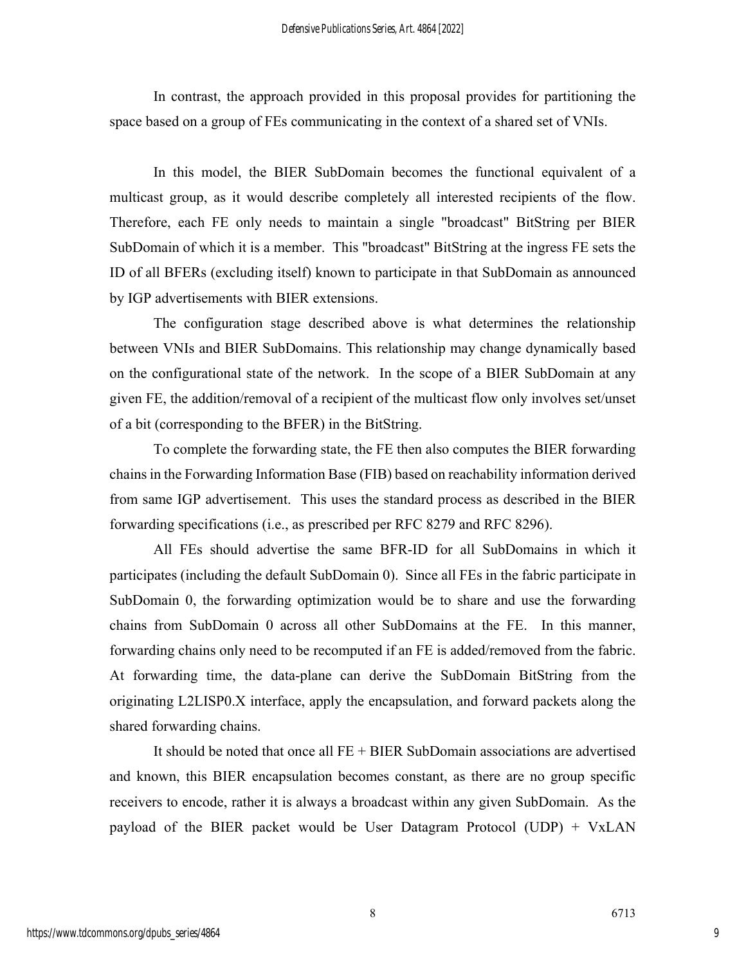In contrast, the approach provided in this proposal provides for partitioning the space based on a group of FEs communicating in the context of a shared set of VNIs.

In this model, the BIER SubDomain becomes the functional equivalent of a multicast group, as it would describe completely all interested recipients of the flow. Therefore, each FE only needs to maintain a single "broadcast" BitString per BIER SubDomain of which it is a member. This "broadcast" BitString at the ingress FE sets the ID of all BFERs (excluding itself) known to participate in that SubDomain as announced by IGP advertisements with BIER extensions.

The configuration stage described above is what determines the relationship between VNIs and BIER SubDomains. This relationship may change dynamically based on the configurational state of the network. In the scope of a BIER SubDomain at any given FE, the addition/removal of a recipient of the multicast flow only involves set/unset of a bit (corresponding to the BFER) in the BitString.

To complete the forwarding state, the FE then also computes the BIER forwarding chains in the Forwarding Information Base (FIB) based on reachability information derived from same IGP advertisement. This uses the standard process as described in the BIER forwarding specifications (i.e., as prescribed per RFC 8279 and RFC 8296).

All FEs should advertise the same BFR-ID for all SubDomains in which it participates (including the default SubDomain 0). Since all FEs in the fabric participate in SubDomain 0, the forwarding optimization would be to share and use the forwarding chains from SubDomain 0 across all other SubDomains at the FE. In this manner, forwarding chains only need to be recomputed if an FE is added/removed from the fabric. At forwarding time, the data-plane can derive the SubDomain BitString from the originating L2LISP0.X interface, apply the encapsulation, and forward packets along the shared forwarding chains.

It should be noted that once all  $FE + BIER$  SubDomain associations are advertised and known, this BIER encapsulation becomes constant, as there are no group specific receivers to encode, rather it is always a broadcast within any given SubDomain. As the payload of the BIER packet would be User Datagram Protocol (UDP) + VxLAN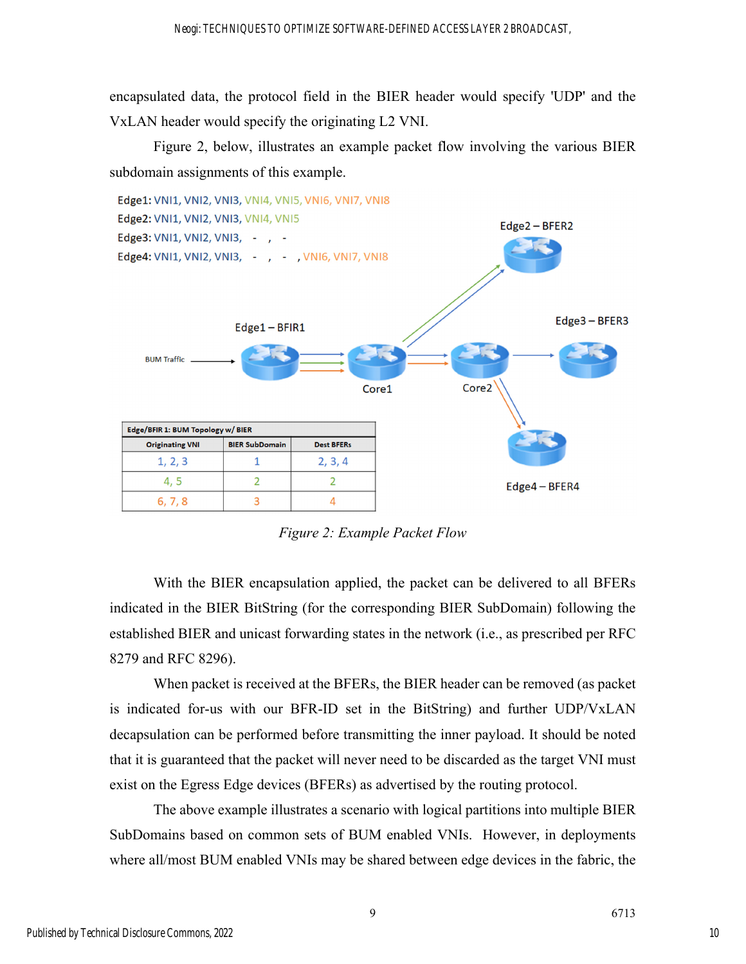encapsulated data, the protocol field in the BIER header would specify 'UDP' and the VxLAN header would specify the originating L2 VNI.

Figure 2, below, illustrates an example packet flow involving the various BIER subdomain assignments of this example.



*Figure 2: Example Packet Flow*

With the BIER encapsulation applied, the packet can be delivered to all BFERs indicated in the BIER BitString (for the corresponding BIER SubDomain) following the established BIER and unicast forwarding states in the network (i.e., as prescribed per RFC 8279 and RFC 8296).

When packet is received at the BFERs, the BIER header can be removed (as packet is indicated for-us with our BFR-ID set in the BitString) and further UDP/VxLAN decapsulation can be performed before transmitting the inner payload. It should be noted that it is guaranteed that the packet will never need to be discarded as the target VNI must exist on the Egress Edge devices (BFERs) as advertised by the routing protocol.

The above example illustrates a scenario with logical partitions into multiple BIER SubDomains based on common sets of BUM enabled VNIs. However, in deployments where all/most BUM enabled VNIs may be shared between edge devices in the fabric, the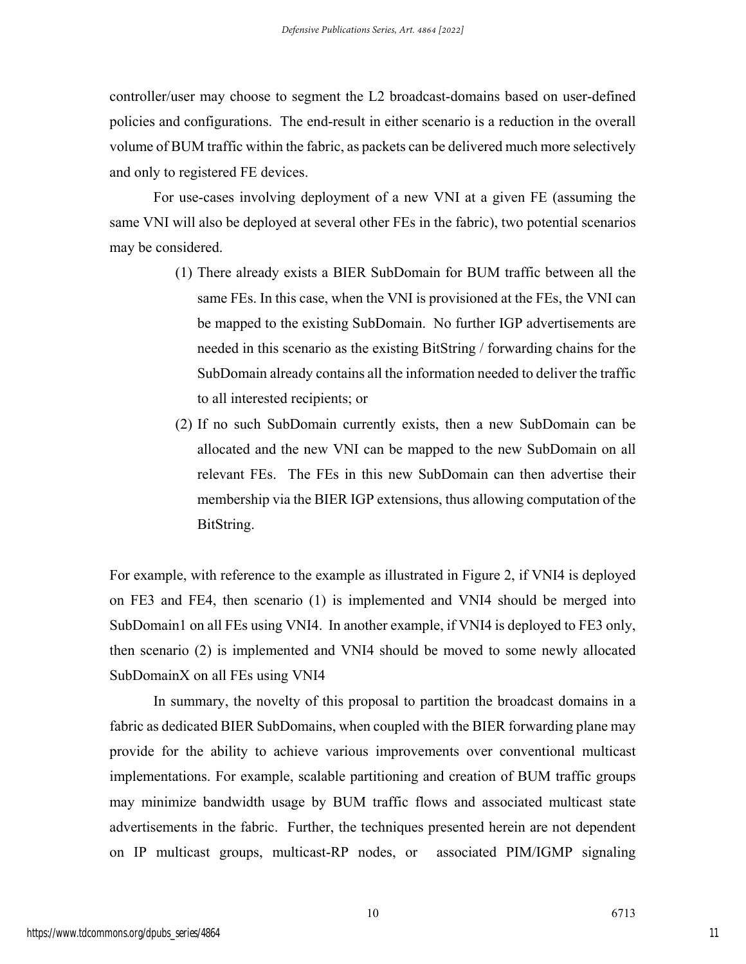controller/user may choose to segment the L2 broadcast-domains based on user-defined policies and configurations. The end-result in either scenario is a reduction in the overall volume of BUM traffic within the fabric, as packets can be delivered much more selectively and only to registered FE devices.

For use-cases involving deployment of a new VNI at a given FE (assuming the same VNI will also be deployed at several other FEs in the fabric), two potential scenarios may be considered.

- (1) There already exists a BIER SubDomain for BUM traffic between all the same FEs. In this case, when the VNI is provisioned at the FEs, the VNI can be mapped to the existing SubDomain. No further IGP advertisements are needed in this scenario as the existing BitString / forwarding chains for the SubDomain already contains all the information needed to deliver the traffic to all interested recipients; or
- (2) If no such SubDomain currently exists, then a new SubDomain can be allocated and the new VNI can be mapped to the new SubDomain on all relevant FEs. The FEs in this new SubDomain can then advertise their membership via the BIER IGP extensions, thus allowing computation of the BitString.

For example, with reference to the example as illustrated in Figure 2, if VNI4 is deployed on FE3 and FE4, then scenario (1) is implemented and VNI4 should be merged into SubDomain1 on all FEs using VNI4. In another example, if VNI4 is deployed to FE3 only, then scenario (2) is implemented and VNI4 should be moved to some newly allocated SubDomainX on all FEs using VNI4

In summary, the novelty of this proposal to partition the broadcast domains in a fabric as dedicated BIER SubDomains, when coupled with the BIER forwarding plane may provide for the ability to achieve various improvements over conventional multicast implementations. For example, scalable partitioning and creation of BUM traffic groups may minimize bandwidth usage by BUM traffic flows and associated multicast state advertisements in the fabric. Further, the techniques presented herein are not dependent on IP multicast groups, multicast-RP nodes, or associated PIM/IGMP signaling